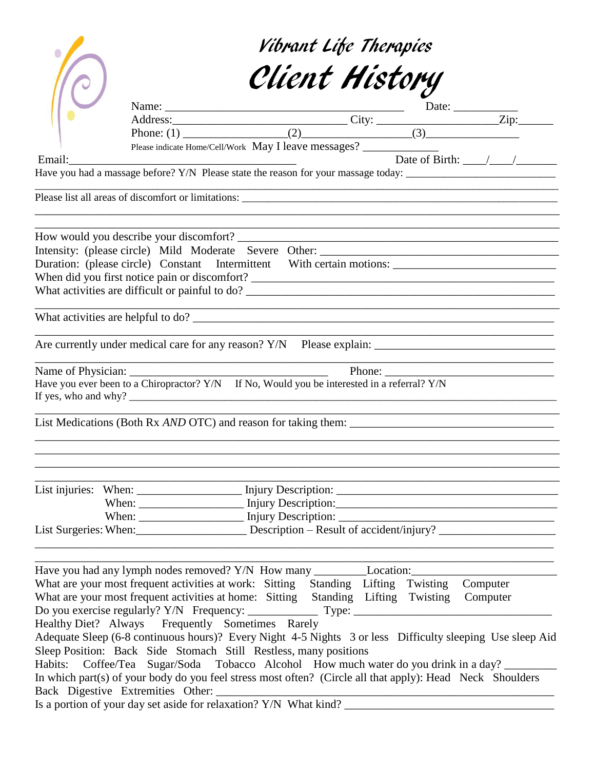|        |                                                                                                                        | Vibrant Life Therapies |  |                                                                                                                  |
|--------|------------------------------------------------------------------------------------------------------------------------|------------------------|--|------------------------------------------------------------------------------------------------------------------|
|        |                                                                                                                        | Client History         |  |                                                                                                                  |
|        |                                                                                                                        |                        |  |                                                                                                                  |
|        |                                                                                                                        |                        |  |                                                                                                                  |
|        |                                                                                                                        |                        |  |                                                                                                                  |
|        |                                                                                                                        |                        |  |                                                                                                                  |
| Email: |                                                                                                                        |                        |  | Date of Birth: $\frac{1}{2}$                                                                                     |
|        |                                                                                                                        |                        |  |                                                                                                                  |
|        |                                                                                                                        |                        |  |                                                                                                                  |
|        |                                                                                                                        |                        |  |                                                                                                                  |
|        |                                                                                                                        |                        |  |                                                                                                                  |
|        |                                                                                                                        |                        |  |                                                                                                                  |
|        |                                                                                                                        |                        |  | Duration: (please circle) Constant Intermittent With certain motions: ______________________________             |
|        |                                                                                                                        |                        |  |                                                                                                                  |
|        |                                                                                                                        |                        |  |                                                                                                                  |
|        |                                                                                                                        |                        |  | and the control of the control of the control of the control of the control of the control of the control of the |
|        |                                                                                                                        |                        |  |                                                                                                                  |
|        | Have you ever been to a Chiropractor? Y/N If No, Would you be interested in a referral? Y/N                            |                        |  | <u> 1989 - Johann Barn, mars et al. (b. 1989)</u>                                                                |
|        |                                                                                                                        |                        |  | List Medications (Both Rx AND OTC) and reason for taking them:                                                   |
|        |                                                                                                                        |                        |  |                                                                                                                  |
|        |                                                                                                                        |                        |  |                                                                                                                  |
|        |                                                                                                                        |                        |  |                                                                                                                  |
|        |                                                                                                                        |                        |  | List Surgeries: When: Description - Result of accident/injury?                                                   |
|        |                                                                                                                        |                        |  |                                                                                                                  |
|        | What are your most frequent activities at work: Sitting Standing Lifting Twisting                                      |                        |  | Computer                                                                                                         |
|        | What are your most frequent activities at home: Sitting Standing Lifting Twisting Computer                             |                        |  |                                                                                                                  |
|        |                                                                                                                        |                        |  |                                                                                                                  |
|        | Healthy Diet? Always Frequently Sometimes Rarely                                                                       |                        |  |                                                                                                                  |
|        |                                                                                                                        |                        |  | Adequate Sleep (6-8 continuous hours)? Every Night 4-5 Nights 3 or less Difficulty sleeping Use sleep Aid        |
|        | Sleep Position: Back Side Stomach Still Restless, many positions                                                       |                        |  |                                                                                                                  |
|        |                                                                                                                        |                        |  | Habits: Coffee/Tea Sugar/Soda Tobacco Alcohol How much water do you drink in a day?                              |
|        | In which part(s) of your body do you feel stress most often? (Circle all that apply): Head Neck Shoulders              |                        |  |                                                                                                                  |
|        | Back Digestive Extremities Other:<br>Is a portion of your day set aside for relaxation? Y/N What kind? _______________ |                        |  |                                                                                                                  |
|        |                                                                                                                        |                        |  |                                                                                                                  |